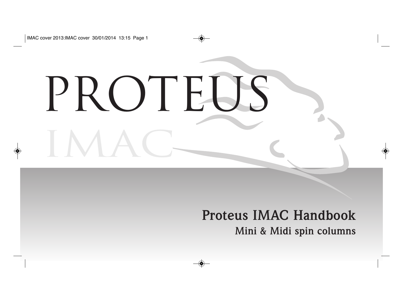# IMAC PROTE<sub>U</sub>

### **Proteus IMAC Handbook Mini & Midi spin columns**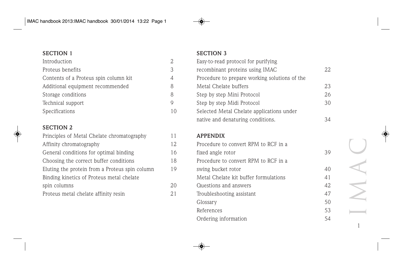| Introduction                          |          |
|---------------------------------------|----------|
| Proteus benefits                      | 3        |
| Contents of a Proteus spin column kit | $\Delta$ |
| Additional equipment recommended      | 8        |
| Storage conditions                    | 8        |
| Technical support                     |          |
| Specifications                        | 10       |

#### **SECTION 2**

| Principles of Metal Chelate chromatography     | 11 |
|------------------------------------------------|----|
| Affinity chromatography                        | 12 |
| General conditions for optimal binding         | 16 |
| Choosing the correct buffer conditions         | 18 |
| Eluting the protein from a Proteus spin column | 19 |
| Binding kinetics of Proteus metal chelate      |    |
| spin columns                                   | 20 |
| Proteus metal chelate affinity resin           | 21 |

#### **SECTION 3**

| Easy-to-read protocol for purifying           |    |
|-----------------------------------------------|----|
| recombinant proteins using IMAC               | 22 |
| Procedure to prepare working solutions of the |    |
| Metal Chelate buffers                         | 23 |
| Step by step Mini Protocol                    | 26 |
| Step by step Midi Protocol                    | 30 |
| Selected Metal Chelate applications under     |    |
| native and denaturing conditions.             | ΆΔ |

#### **APPENDIX**

| Procedure to convert RPM to RCF in a  |    |
|---------------------------------------|----|
| fixed angle rotor                     | 39 |
| Procedure to convert RPM to RCF in a  |    |
| swing bucket rotor                    | 40 |
| Metal Chelate kit buffer formulations | 41 |
| Questions and answers                 | 42 |
| Troubleshooting assistant             | 47 |
| Glossary                              | 50 |
| References                            | 53 |
| Ordering information                  | 54 |

IMAC 1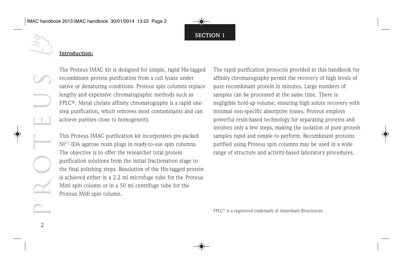#### **Introduction:**

PROTEUS

2

The Proteus IMAC kit is designed for simple, rapid His-tagged recombinant protein purification from a cell lysate under native or denaturing conditions. Proteus spin columns replace lengthy and expensive chromatographic methods such as FPLC®. Metal chelate affinity chromatography is a rapid onestep purification, which removes most contaminants and can achieve purities close to homogeneity.

This Proteus IMAC purification kit incorporates pre-packed  $Ni<sup>2+</sup>$ -IDA agarose resin plugs in ready-to-use spin columns. The objective is to offer the researcher total protein purification solutions from the initial fractionation stage to the final polishing steps. Resolution of the His-tagged protein is achieved either in a 2.2 ml microfuge tube for the Proteus Mini spin column or in a 50 ml centrifuge tube for the Proteus Midi spin column.

The rapid purification protocols provided in this handbook for affinity chromatography permit the recovery of high levels of pure recombinant protein in minutes. Large numbers of samples can be processed at the same time. There is negligible hold-up volume; ensuring high solute recovery with minimal non-specific absorptive losses. Proteus employs powerful resin-based technology for separating proteins and involves only a few steps, making the isolation of pure protein samples rapid and simple to perform. Recombinant proteins purified using Proteus spin columns may be used in a wide range of structure and activity-based laboratory procedures.

FPLC® is a registered trademark of Amersham Biosciences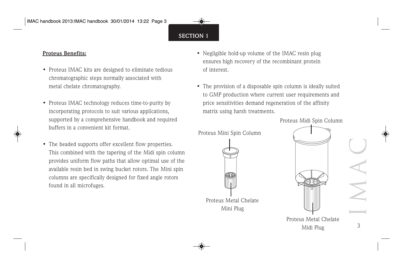#### **Proteus Benefits:**

- Proteus IMAC kits are designed to eliminate tedious chromatographic steps normally associated with metal chelate chromatography.
- Proteus IMAC technology reduces time-to-purity by incorporating protocols to suit various applications, supported by a comprehensive handbook and required buffers in a convenient kit format.
- The beaded supports offer excellent flow properties. This combined with the tapering of the Midi spin column provides uniform flow paths that allow optimal use of the available resin bed in swing bucket rotors. The Mini spin columns are specifically designed for fixed angle rotors found in all microfuges.
- Negligible hold-up volume of the IMAC resin plug ensures high recovery of the recombinant protein of interest.
- The provision of a disposable spin column is ideally suited to GMP production where current user requirements and price sensitivities demand regeneration of the affinity matrix using harsh treatments.



Proteus Midi Spin Column



Midi Plug

3

IMAC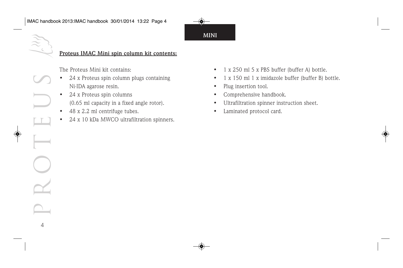**MINI**

#### **Proteus IMAC Mini spin column kit contents:**

The Proteus Mini kit contains:

- 24 x Proteus spin column plugs containing Ni-IDA agarose resin.
- 24 x Proteus spin columns (0.65 ml capacity in a fixed angle rotor).
- 48 x 2.2 ml centrifuge tubes.

PROTEUS

4

• 24 x 10 kDa MWCO ultrafiltration spinners.

- 1 x 250 ml 5 x PBS buffer (buffer A) bottle.
- 1 x 150 ml 1 x imidazole buffer (buffer B) bottle.
- Plug insertion tool.
- Comprehensive handbook.
- Ultrafiltration spinner instruction sheet.
- Laminated protocol card.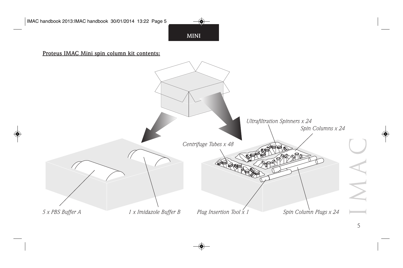**MINI**

**Proteus IMAC Mini spin column kit contents:**

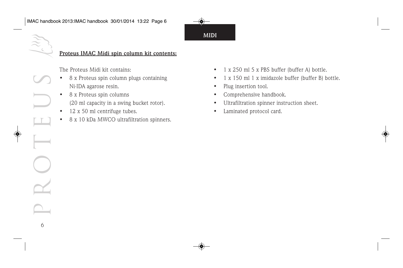**MIDI**

#### **Proteus IMAC Midi spin column kit contents:**

The Proteus Midi kit contains:

- 8 x Proteus spin column plugs containing Ni-IDA agarose resin.
- 8 x Proteus spin columns (20 ml capacity in a swing bucket rotor).
- 12 x 50 ml centrifuge tubes.

PROTEUS

6

8 x 10 kDa MWCO ultrafiltration spinners.

- 1 x 250 ml 5 x PBS buffer (buffer A) bottle.
- 1 x 150 ml 1 x imidazole buffer (buffer B) bottle.
- Plug insertion tool.
- Comprehensive handbook.
- Ultrafiltration spinner instruction sheet.
- Laminated protocol card.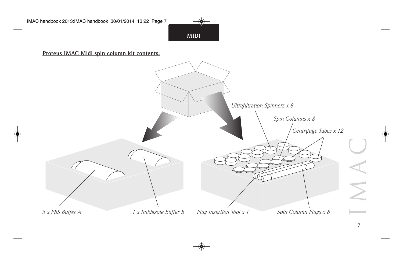**MIDI**

**Proteus IMAC Midi spin column kit contents:**

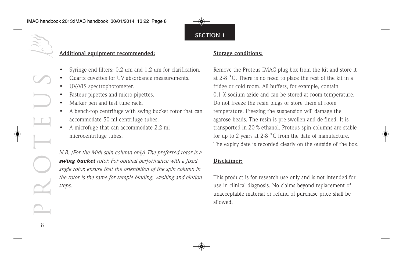**Additional equipment recommended:**

- Syringe-end filters:  $0.2 \mu m$  and  $1.2 \mu m$  for clarification.
- Quartz cuvettes for UV absorbance measurements.
- UV/VIS spectrophotometer.
- Pasteur pipettes and micro-pipettes.
- Marker pen and test tube rack.
- A bench-top centrifuge with swing bucket rotor that can accommodate 50 ml centrifuge tubes.
- A microfuge that can accommodate 2.2 ml microcentrifuge tubes.

*N.B. (For the Midi spin column only) The preferred rotor is a swing bucket rotor. For optimal performance with a fixed angle rotor, ensure that the orientation of the spin column in the rotor is the same for sample binding, washing and elution steps.*

#### **Storage conditions:**

**SECTION 1**

Remove the Proteus IMAC plug box from the kit and store it at 2-8 ˚C. There is no need to place the rest of the kit in a fridge or cold room. All buffers, for example, contain 0.1 % sodium azide and can be stored at room temperature. Do not freeze the resin plugs or store them at room temperature. Freezing the suspension will damage the agarose beads. The resin is pre-swollen and de-fined. It is transported in 20 % ethanol. Proteus spin columns are stable for up to 2 years at 2-8 ˚C from the date of manufacture. The expiry date is recorded clearly on the outside of the box.

#### **Disclaimer:**

This product is for research use only and is not intended for use in clinical diagnosis. No claims beyond replacement of unacceptable material or refund of purchase price shall be allowed.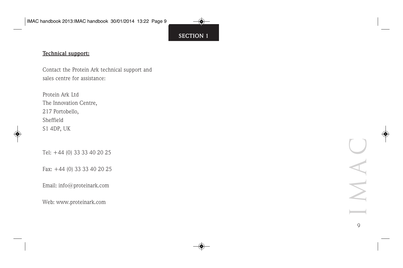#### **Technical support:**

Contact the Protein Ark technical support and sales centre for assistance:

Protein Ark Ltd The Innovation Centre, 217 Portobello, Sheffield S1 4DP, UK

Tel: +44 (0) 33 33 40 20 25

Fax: +44 (0) 33 33 40 20 25

Email: info@proteinark.com

Web: www.proteinark.com

 $\frac{1}{2}$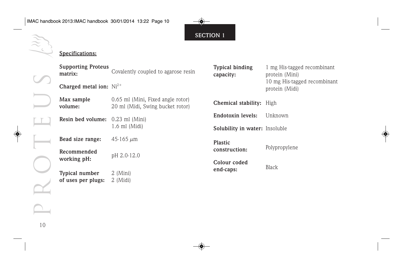#### **Specifications:**

| <b>Supporting Proteus</b><br>matrix: | <b>Typical binding</b><br>Covalently coupled to agarose resin<br>capacity: |                                 | 1 mg His-tagged recombinant<br>protein (Mini)  |  |
|--------------------------------------|----------------------------------------------------------------------------|---------------------------------|------------------------------------------------|--|
| Charged metal ion: $Ni2+$            |                                                                            |                                 | 10 mg His-tagged recombinant<br>protein (Midi) |  |
| Max sample<br>volume:                | 0.65 ml (Mini, Fixed angle rotor)<br>20 ml (Midi, Swing bucket rotor)      | <b>Chemical stability:</b> High |                                                |  |
| Resin bed volume: 0.23 ml (Mini)     |                                                                            | Endotoxin levels:               | Unknown                                        |  |
|                                      | $1.6$ ml (Midi)                                                            | Solubility in water: Insoluble  |                                                |  |
| Bead size range:                     | 45-165 $\mu$ m                                                             | Plastic                         |                                                |  |
| Recommended                          | pH 2.0-12.0                                                                | construction:                   | Polypropylene                                  |  |
| working pH:                          |                                                                            | Colour coded                    | <b>Black</b>                                   |  |
| <b>Typical number</b>                | $2 \ (Mini)$                                                               | end-caps:                       |                                                |  |
| of uses per plugs:                   | $2 \ (Midi)$                                                               |                                 |                                                |  |

PROTEUS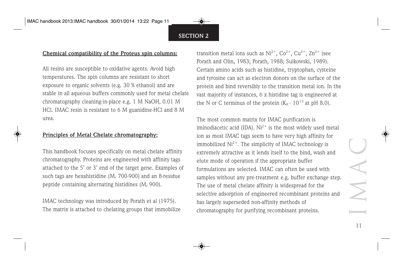#### **Chemical compatibility of the Proteus spin columns:**

All resins are susceptible to oxidative agents. Avoid high temperatures. The spin columns are resistant to short exposure to organic solvents (e.g. 30 % ethanol) and are stable in all aqueous buffers commonly used for metal chelate chromatography cleaning-in-place e.g. 1 M NaOH, 0.01 M HCl. IMAC resin is resistant to 6 M guanidine-HCl and 8 M urea.

#### **Principles of Metal Chelate chromatography:**

This handbook focuses specifically on metal chelate affinity chromatography. Proteins are engineered with affinity tags attached to the 5' or 3' end of the target gene. Examples of such tags are hexahistidine  $(M<sub>r</sub> 700-900)$  and an 8-residue peptide containing alternating histidines  $(M_r 900)$ .

IMAC technology was introduced by Porath et al (1975). The matrix is attached to chelating groups that immobilize transition metal ions such as  $Ni^{2+}$ ,  $Co^{2+}$ ,  $Cu^{2+}$ ,  $Zn^{2+}$  (see Porath and Olin, 1983; Porath, 1988; Sulkowski, 1989). Certain amino acids such as histidine, tryptophan, cysteine and tyrosine can act as electron donors on the surface of the protein and bind reversibly to the transition metal ion. In the vast majority of instances, 6 x histidine tag is engineered at the N or C terminus of the protein  $(K_d - 10^{-13}$  at pH 8.0).

The most common matrix for IMAC purification is iminodiacetic acid (IDA).  $Ni^{2+}$  is the most widely used metal ion as most IMAC tags seem to have very high affinity for immobilized  $Ni^{2+}$ . The simplicity of IMAC technology is extremely attractive as it lends itself to the bind, wash and elute mode of operation if the appropriate buffer formulations are selected. IMAC can often be used with samples without any pre-treatment e.g. buffer exchange step. The use of metal chelate affinity is widespread for the selective adsorption of engineered recombinant proteins and has largely superseded non-affinity methods of chromatography for purifying recombinant proteins.

IMAC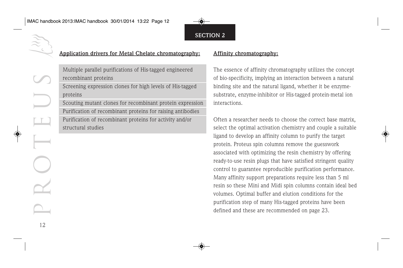#### **Application drivers for Metal Chelate chromatography:**

Multiple parallel purifications of His-tagged engineered recombinant proteins

Screening expression clones for high levels of His-tagged proteins

Scouting mutant clones for recombinant protein expression Purification of recombinant proteins for raising antibodies Purification of recombinant proteins for activity and/or structural studies

#### **Affinity chromatography:**

The essence of affinity chromatography utilizes the concept of bio-specificity, implying an interaction between a natural binding site and the natural ligand, whether it be enzymesubstrate, enzyme-inhibitor or His-tagged protein-metal ion interactions.

Often a researcher needs to choose the correct base matrix, select the optimal activation chemistry and couple a suitable ligand to develop an affinity column to purify the target protein. Proteus spin columns remove the guesswork associated with optimizing the resin chemistry by offering ready-to-use resin plugs that have satisfied stringent quality control to guarantee reproducible purification performance. Many affinity support preparations require less than 5 ml resin so these Mini and Midi spin columns contain ideal bed volumes. Optimal buffer and elution conditions for the purification step of many His-tagged proteins have been defined and these are recommended on page 23.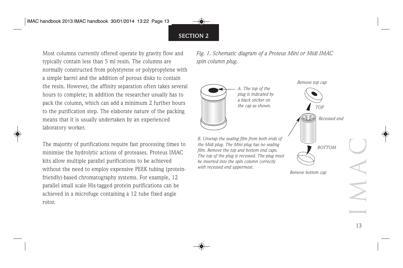Most columns currently offered operate by gravity flow and typically contain less than 5 ml resin. The columns are normally constructed from polystyrene or polypropylene with a simple barrel and the addition of porous disks to contain the resin. However, the affinity separation often takes several hours to complete; in addition the researcher usually has to pack the column, which can add a minimum 2 further hours to the purification step. The elaborate nature of the packing means that it is usually undertaken by an experienced laboratory worker.

The majority of purifications require fast processing times to minimise the hydrolytic actions of proteases. Proteus IMAC kits allow multiple parallel purifications to be achieved without the need to employ expensive PEEK tubing (proteinfriendly)-based chromatography systems. For example, 12 parallel small scale His-tagged protein purifications can be achieved in a microfuge containing a 12 tube fixed angle rotor.

*Fig. 1. Schematic diagram of a Proteus Mini or Midi IMAC spin column plug.*



*Remove bottom cap*

IMAC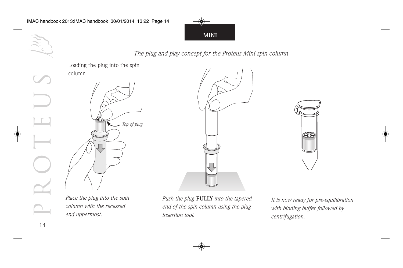**MINI**

*The plug and play concept for the Proteus Mini spin column*



*insertion tool.*



*It is now ready for pre-equilibration with binding buffer followed by centrifugation.*

Œ

14

*end uppermost.*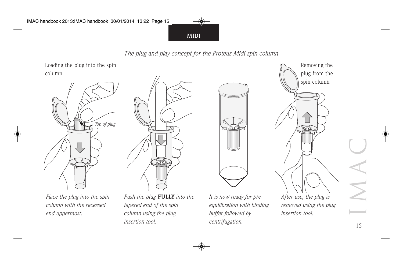**MIDI**

*The plug and play concept for the Proteus Midi spin column*



*Place the plug into the spin column with the recessed end uppermost.*

*Push the plug* **FULLY** *into the tapered end of the spin column using the plug insertion tool.*

*It is now ready for preequilibration with binding buffer followed by centrifugation.*

*After use, the plug is removed using the plug insertion tool.*

15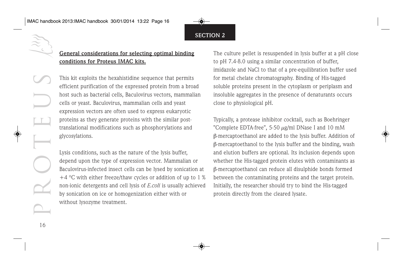#### **General considerations for selecting optimal binding conditions for Proteus IMAC kits.**

This kit exploits the hexahistidine sequence that permits efficient purification of the expressed protein from a broad host such as bacterial cells, Baculovirus vectors, mammalian cells or yeast. Baculovirus, mammalian cells and yeast expression vectors are often used to express eukaryotic proteins as they generate proteins with the similar posttranslational modifications such as phosphorylations and glycosylations.

Lysis conditions, such as the nature of the lysis buffer, depend upon the type of expression vector. Mammalian or Baculovirus-infected insect cells can be lysed by sonication at  $+4$  °C with either freeze/thaw cycles or addition of up to 1 % non-ionic detergents and cell lysis of *E.coli* is usually achieved by sonication on ice or homogenization either with or without lysozyme treatment.

The culture pellet is resuspended in lysis buffer at a pH close to pH 7.4-8.0 using a similar concentration of buffer, imidazole and NaCl to that of a pre-equilibration buffer used for metal chelate chromatography. Binding of His-tagged soluble proteins present in the cytoplasm or periplasm and insoluble aggregates in the presence of denaturants occurs close to physiological pH.

Typically, a protease inhibitor cocktail, such as Boehringer "Complete EDTA-free", 5-50  $\mu$ g/ml DNase I and 10 mM β-mercaptoethanol are added to the lysis buffer. Addition of β-mercaptoethanol to the lysis buffer and the binding, wash and elution buffers are optional. Its inclusion depends upon whether the His-tagged protein elutes with contaminants as β-mercaptoethanol can reduce all disulphide bonds formed between the contaminating proteins and the target protein. Initially, the researcher should try to bind the His-tagged protein directly from the cleared lysate.

16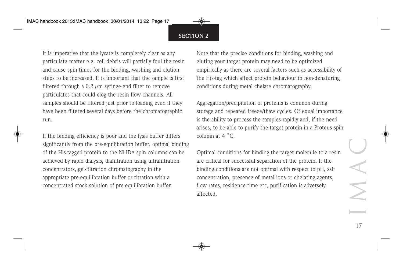It is imperative that the lysate is completely clear as any particulate matter e.g. cell debris will partially foul the resin and cause spin times for the binding, washing and elution steps to be increased. It is important that the sample is first filtered through a 0.2  $\mu$ m syringe-end filter to remove particulates that could clog the resin flow channels. All samples should be filtered just prior to loading even if they have been filtered several days before the chromatographic run.

If the binding efficiency is poor and the lysis buffer differs significantly from the pre-equilibration buffer, optimal binding of the His-tagged protein to the Ni-IDA spin columns can be achieved by rapid dialysis, diafiltration using ultrafiltration concentrators, gel-filtration chromatography in the appropriate pre-equilibration buffer or titration with a concentrated stock solution of pre-equilibration buffer.

Note that the precise conditions for binding, washing and eluting your target protein may need to be optimized empirically as there are several factors such as accessibility of the His-tag which affect protein behaviour in non-denaturing conditions during metal chelate chromatography.

Aggregation/precipitation of proteins is common during storage and repeated freeze/thaw cycles. Of equal importance is the ability to process the samples rapidly and, if the need arises, to be able to purify the target protein in a Proteus spin column at 4 ˚C.

Optimal conditions for binding the target molecule to a resin are critical for successful separation of the protein. If the binding conditions are not optimal with respect to pH, salt concentration, presence of metal ions or chelating agents, flow rates, residence time etc, purification is adversely affected.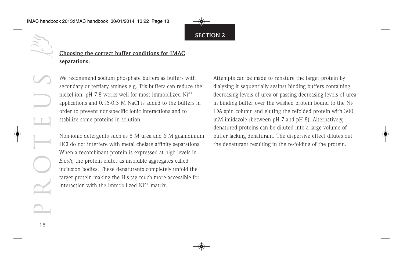#### **Choosing the correct buffer conditions for IMAC separations:**

We recommend sodium phosphate buffers as buffers with secondary or tertiary amines e.g. Tris buffers can reduce the nickel ion. pH 7-8 works well for most immobilized  $Ni<sup>2+</sup>$ applications and 0.15-0.5 M NaCl is added to the buffers in order to prevent non-specific ionic interactions and to stabilize some proteins in solution.

Non-ionic detergents such as 8 M urea and 6 M guanidinium HCl do not interfere with metal chelate affinity separations. When a recombinant protein is expressed at high levels in *E.coli*, the protein elutes as insoluble aggregates called inclusion bodies. These denaturants completely unfold the target protein making the His-tag much more accessible for interaction with the immobilized  $Ni<sup>2+</sup>$  matrix.

Attempts can be made to renature the target protein by dialyzing it sequentially against binding buffers containing decreasing levels of urea or passing decreasing levels of urea in binding buffer over the washed protein bound to the Ni-IDA spin column and eluting the refolded protein with 300 mM imidazole (between pH 7 and pH 8). Alternatively, denatured proteins can be diluted into a large volume of buffer lacking denaturant. The dispersive effect dilutes out the denaturant resulting in the re-folding of the protein.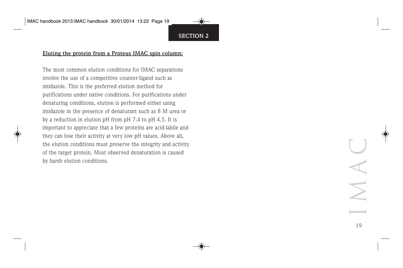#### **Eluting the protein from a Proteus IMAC spin column:**

The most common elution conditions for IMAC separations involve the use of a competitive counter-ligand such as imidazole. This is the preferred elution method for purifications under native conditions. For purifications under denaturing conditions, elution is performed either using imidazole in the presence of denaturant such as 8 M urea or by a reduction in elution pH from pH 7.4 to pH 4.5. It is important to appreciate that a few proteins are acid-labile and they can lose their activity at very low pH values. Above all, the elution conditions must preserve the integrity and activity of the target protein. Most observed denaturation is caused by harsh elution conditions.

IMAC 19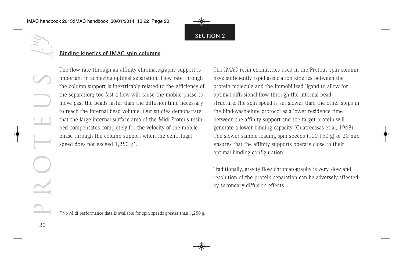

#### **Binding kinetics of IMAC spin columns**

The flow rate through an affinity chromatography support is important in achieving optimal separation. Flow rate through the column support is inextricably related to the efficiency of the separation; too fast a flow will cause the mobile phase to move past the beads faster than the diffusion time necessary to reach the internal bead volume. Our studies demonstrate that the large internal surface area of the Midi Proteus resin bed compensates completely for the velocity of the mobile phase through the column support when the centrifugal speed does not exceed 1,250 g\*.

The IMAC resin chemistries used in the Proteus spin column have sufficiently rapid association kinetics between the protein molecule and the immobilized ligand to allow for optimal diffusional flow through the internal bead structure.The spin speed is set slower than the other steps in the bind-wash-elute protocol as a lower residence time between the affinity support and the target protein will generate a lower binding capacity (Cuatrecasas et al, 1968). The slower sample loading spin speeds (100-150 g) of 30 min ensures that the affinity supports operate close to their optimal binding configuration.

Traditionally, gravity flow chromatography is very slow and resolution of the protein separation can be adversely affected by secondary diffusion effects.

\*No Midi performance data is available for spin speeds greater than 1,250 g.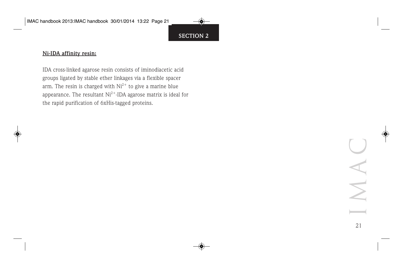#### **Ni-IDA affinity resin:**

IDA cross-linked agarose resin consists of iminodiacetic acid groups ligated by stable ether linkages via a flexible spacer arm. The resin is charged with  $Ni^{2+}$  to give a marine blue appearance. The resultant  $Ni^{2+}$ -IDA agarose matrix is ideal for the rapid purification of 6xHis-tagged proteins.

> IMAC 21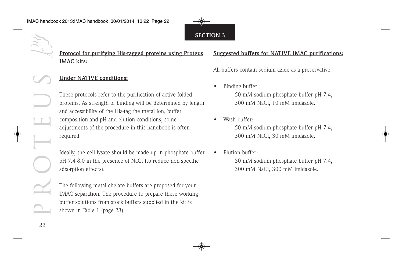#### **Protocol for purifying His-tagged proteins using Proteus IMAC kits:**

#### **Under NATIVE conditions:**

These protocols refer to the purification of active folded proteins. As strength of binding will be determined by length and accessibility of the His-tag the metal ion, buffer composition and pH and elution conditions, some adjustments of the procedure in this handbook is often required.

Ideally, the cell lysate should be made up in phosphate buffer pH 7.4-8.0 in the presence of NaCl (to reduce non-specific adsorption effects).

The following metal chelate buffers are proposed for your IMAC separation. The procedure to prepare these working buffer solutions from stock buffers supplied in the kit is shown in Table 1 (page 23).

#### **Suggested buffers for NATIVE IMAC purifications:**

All buffers contain sodium azide as a preservative.

- Binding buffer: 50 mM sodium phosphate buffer pH 7.4, 300 mM NaCl, 10 mM imidazole.
- Wash buffer: 50 mM sodium phosphate buffer pH 7.4, 300 mM NaCl, 30 mM imidazole.
- Elution buffer: 50 mM sodium phosphate buffer pH 7.4, 300 mM NaCl, 300 mM imidazole.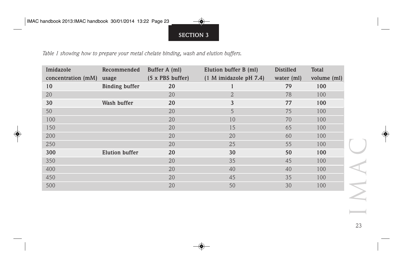*Table 1 showing how to prepare your metal chelate binding, wash and elution buffers.*

| Imidazole<br>concentration (mM) | Recommended<br>usage  | Buffer A (ml)<br>(5 x PBS buffer) | Elution buffer B (ml)<br>(1 M imidazole pH 7.4) | <b>Distilled</b><br>water $(ml)$ | <b>Total</b><br>volume (ml) |
|---------------------------------|-----------------------|-----------------------------------|-------------------------------------------------|----------------------------------|-----------------------------|
| 10                              | <b>Binding buffer</b> | 20                                |                                                 | 79                               | 100                         |
| 20                              |                       | 20                                | $\overline{2}$                                  | 78                               | 100                         |
| 30                              | Wash buffer           | 20                                | 3                                               | 77                               | 100                         |
| 50                              |                       | 20                                | 5                                               | 75                               | 100                         |
| 100                             |                       | 20                                | 10                                              | 70                               | 100                         |
| 150                             |                       | 20                                | 15                                              | 65                               | 100                         |
| 200                             |                       | 20                                | 20                                              | 60                               | 100                         |
| 250                             |                       | 20                                | 25                                              | 55                               | 100                         |
| 300                             | <b>Elution buffer</b> | 20                                | 30                                              | 50                               | 100                         |
| 350                             |                       | 20                                | 35                                              | 45                               | 100                         |
| 400                             |                       | 20                                | 40                                              | 40                               | 100                         |
| 450                             |                       | 20                                | 45                                              | 35                               | 100                         |
| 500                             |                       | 20                                | 50                                              | 30                               | 100                         |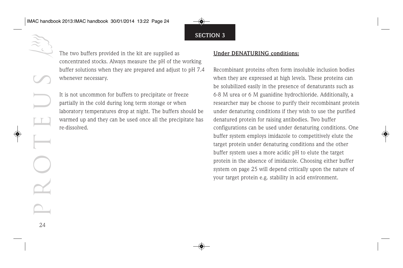The two buffers provided in the kit are supplied as concentrated stocks. Always measure the pH of the working buffer solutions when they are prepared and adjust to pH 7.4 whenever necessary.

It is not uncommon for buffers to precipitate or freeze partially in the cold during long term storage or when laboratory temperatures drop at night. The buffers should be warmed up and they can be used once all the precipitate has re-dissolved.

#### **Under DENATURING conditions:**

Recombinant proteins often form insoluble inclusion bodies when they are expressed at high levels. These proteins can be solubilized easily in the presence of denaturants such as 6-8 M urea or 6 M guanidine hydrochloride. Additionally, a researcher may be choose to purify their recombinant protein under denaturing conditions if they wish to use the purified denatured protein for raising antibodies. Two buffer configurations can be used under denaturing conditions. One buffer system employs imidazole to competitively elute the target protein under denaturing conditions and the other buffer system uses a more acidic pH to elute the target protein in the absence of imidazole. Choosing either buffer system on page 25 will depend critically upon the nature of your target protein e.g. stability in acid environment.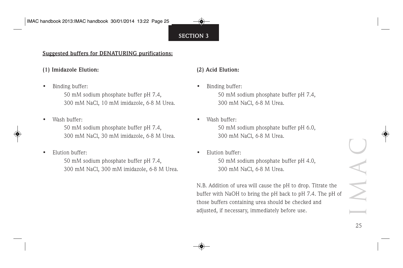#### **Suggested buffers for DENATURING purifications:**

#### **(1) Imidazole Elution:**

• Binding buffer:

50 mM sodium phosphate buffer pH 7.4, 300 mM NaCl, 10 mM imidazole, 6-8 M Urea.

• Wash buffer:

50 mM sodium phosphate buffer pH 7.4, 300 mM NaCl, 30 mM imidazole, 6-8 M Urea.

• Elution buffer:

50 mM sodium phosphate buffer pH 7.4, 300 mM NaCl, 300 mM imidazole, 6-8 M Urea.

#### **(2) Acid Elution:**

• Binding buffer:

50 mM sodium phosphate buffer pH 7.4, 300 mM NaCl, 6-8 M Urea.

• Wash buffer:

50 mM sodium phosphate buffer pH 6.0, 300 mM NaCl, 6-8 M Urea.

• Elution buffer:

50 mM sodium phosphate buffer pH 4.0, 300 mM NaCl, 6-8 M Urea.

N.B. Addition of urea will cause the pH to drop. Titrate the buffer with NaOH to bring the pH back to pH 7.4. The pH of those buffers containing urea should be checked and adjusted, if necessary, immediately before use.

IMAC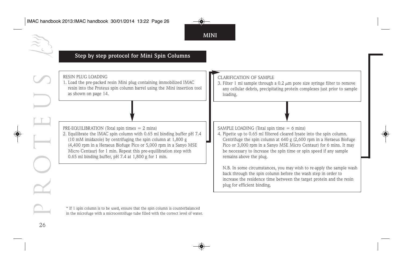#### **Step by step protocol for Mini Spin Columns**

| RESIN PLUG LOADING<br>1. Load the pre-packed resin Mini plug containing immobilized IMAC<br>resin into the Proteus spin column barrel using the Mini insertion tool<br>as shown on page 14.                                                                                                                                                                                                             | <b>CLARIFICATION OF SAMPLE</b><br>3. Filter 1 ml sample through a 0.2 $\mu$ m pore size syringe filter to remove<br>any cellular debris, precipitating protein complexes just prior to sample<br>loading.                                                                                                                                                                     |
|---------------------------------------------------------------------------------------------------------------------------------------------------------------------------------------------------------------------------------------------------------------------------------------------------------------------------------------------------------------------------------------------------------|-------------------------------------------------------------------------------------------------------------------------------------------------------------------------------------------------------------------------------------------------------------------------------------------------------------------------------------------------------------------------------|
|                                                                                                                                                                                                                                                                                                                                                                                                         |                                                                                                                                                                                                                                                                                                                                                                               |
| PRE-EQUILIBRATION (Total spin times $= 2$ mins)<br>2. Equilibrate the IMAC spin column with 0.65 ml binding buffer pH 7.4<br>$(10 \text{ mM }$ imidazole) by centrifuging the spin column at 1,800 g<br>(4,400 rpm in a Heraeus Biofuge Pico or 5,000 rpm in a Sanyo MSE<br>Micro Centaur) for 1 min. Repeat this pre-equilibration step with<br>$0.65$ ml binding buffer, pH 7.4 at 1,800 g for 1 min. | SAMPLE LOADING (Total spin time $= 6$ mins)<br>4. Pipette up to 0.65 ml filtered cleared lysate into the spin column.<br>Centrifuge the spin column at $640 \text{ g}$ (2,600 rpm in a Heraeus Biofuge<br>Pico or 3,000 rpm in a Sanyo MSE Micro Centaur) for 6 mins. It may<br>be necessary to increase the spin time or spin speed if any sample<br>remains above the plug. |
|                                                                                                                                                                                                                                                                                                                                                                                                         | N.B. In some circumstances, you may wish to re-apply the sample wash<br>back through the spin column before the wash step in order to<br>increase the residence time between the target protein and the resin<br>plug for efficient binding.                                                                                                                                  |
| * If 1 spin column is to be used, ensure that the spin column is counterbalanced<br>in the microfuge with a microcentrifuge tube filled with the correct level of water.                                                                                                                                                                                                                                |                                                                                                                                                                                                                                                                                                                                                                               |

**MINI**

 $^\star$  If 1 spin column is to be used, ensure that the spin column is counterbalanced in the microfuge with a microcentrifuge tube filled with the correct level of water.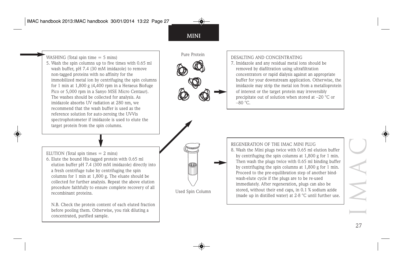Pure Protein

Used Spin Column

Œ

WASHING (Total spin time  $= 5$  mins) 5. Wash the spin columns up to five times with 0.65 ml wash buffer, pH 7.4 (30 mM imidazole) to remove non-tagged proteins with no affinity for the immobilized metal ion by centrifuging the spin columns for 1 min at 1,800 g (4,400 rpm in a Heraeus Biofuge Pico or 5,000 rpm in a Sanyo MSE Micro Centaur). The washes should be collected for analysis. As imidazole absorbs UV radiation at 280 nm, we recommend that the wash buffer is used as the reference solution for auto-zeroing the UV-Vis spectrophotometer if imidazole is used to elute the target protein from the spin columns.

ELUTION (Total spin times  $= 2$  mins)

6. Elute the bound His-tagged protein with 0.65 ml elution buffer pH 7.4 (300 mM imidazole) directly into a fresh centrifuge tube by centrifuging the spin columns for 1 min at 1,800 g. The eluate should be collected for further analysis. Repeat the above elution procedure faithfully to ensure complete recovery of all recombinant proteins.

N.B. Check the protein content of each eluted fraction before pooling them. Otherwise, you risk diluting a concentrated, purified sample.

DESALTING AND CONCENTRATING

7. Imidazole and any residual metal ions should be removed by diafiltration using ultrafiltration concentrators or rapid dialysis against an appropriate buffer for your downstream application. Otherwise, the imidazole may strip the metal ion from a metalloprotein of interest or the target protein may irreversibly precipitate out of solution when stored at –20 °C or  $-80$  °C.

REGENERATION OF THE IMAC MINI PLUG 8. Wash the Mini plugs twice with 0.65 ml elution buffer by centrifuging the spin columns at 1,800 g for 1 min. Then wash the plugs twice with 0.65 ml binding buffer by centrifuging the spin columns at 1,800 g for 1 min. Proceed to the pre-equilibration step of another bindwash-elute cycle if the plugs are to be re-used immediately. After regeneration, plugs can also be stored, without their end caps, in 0.1 % sodium azide (made up in distilled water) at 2-8 °C until further use.

IMAC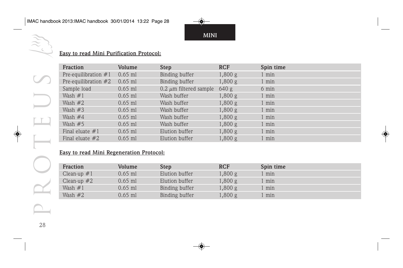**MINI**

#### **Easy to read Mini Purification Protocol:**

| <b>Fraction</b>        | Volume    | <b>Step</b>                 | <b>RCF</b> | Spin time |
|------------------------|-----------|-----------------------------|------------|-----------|
| Pre-equilibration $#1$ | $0.65$ ml | Binding buffer              | 1,800 g    | 1 min     |
| Pre-equilibration $#2$ | $0.65$ ml | Binding buffer              | 1,800 g    | 1 min     |
| Sample load            | $0.65$ ml | $0.2 \mu m$ filtered sample | 640 g      | 6 min     |
| Wash $#1$              | $0.65$ ml | Wash buffer                 | 1,800 g    | 1 min     |
| Wash $#2$              | $0.65$ ml | Wash buffer                 | 1,800 g    | 1 min     |
| Wash $#3$              | $0.65$ ml | Wash buffer                 | 1,800 g    | 1 min     |
| Wash $#4$              | $0.65$ ml | Wash buffer                 | 1,800 g    | 1 min     |
| Wash $#5$              | $0.65$ ml | Wash buffer                 | 1,800 g    | 1 min     |
| Final eluate $#1$      | $0.65$ ml | Elution buffer              | 1,800 g    | $1$ min   |
| Final eluate $#2$      | $0.65$ ml | Elution buffer              | 1,800 g    | 1 min     |

#### **Easy to read Mini Regeneration Protocol:**

| Fraction      | Volume    | <b>Step</b>    | <b>RCF</b>       | Spin time |  |
|---------------|-----------|----------------|------------------|-----------|--|
| Clean-up $#1$ | 0.65 ml   | Elution buffer | 1,800 g          | min       |  |
| Clean-up $#2$ | 0.65 ml   | Elution buffer | .800 g           | min       |  |
| Wash $#1$     | $0.65$ ml | Binding buffer | .800 g           | min       |  |
| Wash $#2$     | $0.65$ ml | Binding buffer | $,800 \text{ g}$ | min       |  |

28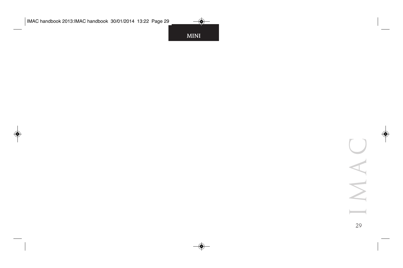**MINI**

IMAC

29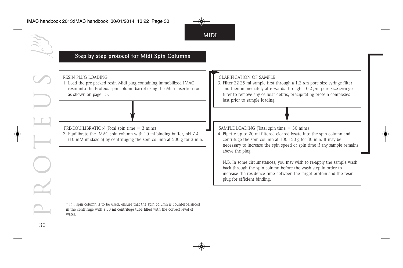

#### **Step by step protocol for Midi Spin Columns**

| RESIN PLUG LOADING<br>1. Load the pre-packed resin Midi plug containing immobilized IMAC<br>resin into the Proteus spin column barrel using the Midi insertion tool<br>as shown on page 15.      | <b>CLARIFICATION OF SAMPLE</b><br>3. Filter 22-25 ml sample first through a 1.2 $\mu$ m pore size syringe filter<br>and then immediately afterwards through a $0.2 \mu m$ pore size syringe<br>filter to remove any cellular debris, precipitating protein complexes<br>just prior to sample loading. |
|--------------------------------------------------------------------------------------------------------------------------------------------------------------------------------------------------|-------------------------------------------------------------------------------------------------------------------------------------------------------------------------------------------------------------------------------------------------------------------------------------------------------|
| PRE-EQUILIBRATION (Total spin time $=$ 3 mins)<br>2. Equilibrate the IMAC spin column with 10 ml binding buffer, pH 7.4<br>(10 mM imidazole) by centrifuging the spin column at 500 g for 3 min. | SAMPLE LOADING (Total spin time $=$ 30 mins)<br>4. Pipette up to 20 ml filtered cleared lysate into the spin column and<br>centrifuge the spin column at 100-150 g for 30 min. It may be<br>necessary to increase the spin speed or spin time if any sample remains<br>above the plug.                |
|                                                                                                                                                                                                  | N.B. In some circumstances, you may wish to re-apply the sample wash<br>back through the spin column before the wash step in order to<br>increase the residence time between the target protein and the resin<br>plug for efficient binding.                                                          |

**MIDI**

\* If 1 spin column is to be used, ensure that the spin column is counterbalanced in the centrifuge with a 50 ml centrifuge tube filled with the correct level of water.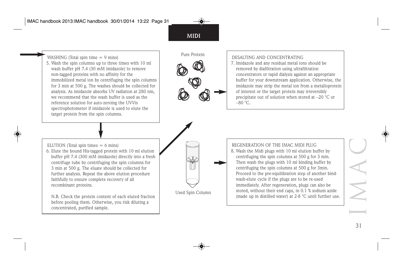Pure Protein WASHING (Total spin time = 9 mins) 5. Wash the spin columns up to three times with 10 ml wash buffer pH 7.4 (30 mM imidazole) to remove non-tagged proteins with no affinity for the immobilized metal ion by centrifuging the spin columns for 3 min at 500 g. The washes should be collected for analysis. As imidazole absorbs UV radiation at 280 nm, we recommend that the wash buffer is used as the reference solution for auto-zeroing the UV-Vis spectrophotometer if imidazole is used to elute the target protein from the spin columns.

#### DESALTING AND CONCENTRATING

7. Imidazole and any residual metal ions should be removed by diafiltration using ultrafiltration concentrators or rapid dialysis against an appropriate buffer for your downstream application. Otherwise, the imidazole may strip the metal ion from a metalloprotein of interest or the target protein may irreversibly precipitate out of solution when stored at –20 °C or  $-80$  °C.

ELUTION (Total spin times  $= 6$  mins)

6. Elute the bound His-tagged protein with 10 ml elution buffer pH 7.4 (300 mM imidazole) directly into a fresh centrifuge tube by centrifuging the spin columns for 3 min at 500 g. The eluate should be collected for further analysis. Repeat the above elution procedure faithfully to ensure complete recovery of all recombinant proteins.

N.B. Check the protein content of each eluted fraction before pooling them. Otherwise, you risk diluting a concentrated, purified sample.

REGENERATION OF THE IMAC MIDI PLUG 8. Wash the Midi plugs with 10 ml elution buffer by centrifuging the spin columns at 500 g for 3 min. Then wash the plugs with 10 ml binding buffer by centrifuging the spin columns at 500 g for 3min. Proceed to the pre-equilibration step of another bindwash-elute cycle if the plugs are to be re-used immediately. After regeneration, plugs can also be stored, without their end caps, in 0.1 % sodium azide Used Spin Column stored, without their end caps, in 0.1 % sodium azide<br>(made up in distilled water) at 2-8 °C until further use. IMAC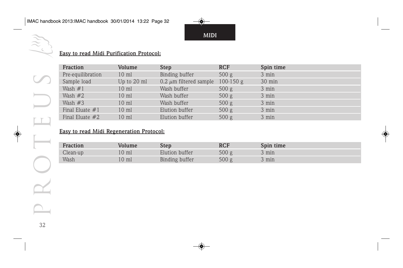**MIDI**

#### **Easy to read Midi Purification Protocol:**

| Fraction          | Volume          | <b>Step</b>                           | <b>RCF</b> | Spin time        |
|-------------------|-----------------|---------------------------------------|------------|------------------|
| Pre-equilibration | $10 \text{ ml}$ | Binding buffer                        | 500 g      | 3 min            |
| Sample load       | Up to 20 ml     | 0.2 $\mu$ m filtered sample 100-150 g |            | $30 \text{ min}$ |
| Wash $#1$         | $10 \text{ ml}$ | Wash buffer                           | 500 g      | 3 min            |
| Wash $#2$         | $10 \text{ ml}$ | Wash buffer                           | 500 g      | 3 min            |
| Wash $#3$         | $10 \text{ ml}$ | Wash buffer                           | 500 g      | 3 min            |
| Final Eluate $#1$ | $10 \text{ ml}$ | Elution buffer                        | 500 g      | 3 min            |
| Final Eluate $#2$ | $10 \text{ ml}$ | Elution buffer                        | 500 g      | 3 min            |

#### **Easy to read Midi Regeneration Protocol:**

| Fraction | Volume | Step           | RCF   | Spin time |
|----------|--------|----------------|-------|-----------|
| Clean-up | ' 0 ml | Elution buffer | 500 g | 3 min     |
| Wash     | 10 ml  | Binding buffer | 500 g | 3 min     |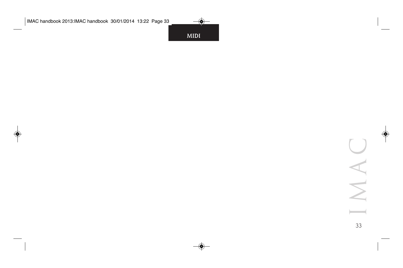**MIDI**

IMAC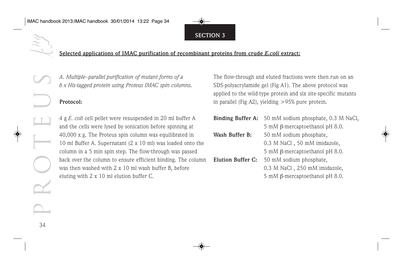#### **Selected applications of IMAC purification of recombinant proteins from crude** *E.coli* **extract:**

*A. Multiple–parallel purification of mutant forms of a 6 x His-tagged protein using Proteus IMAC spin columns.*

#### **Protocol:**

4 g *E. coli* cell pellet were resuspended in 20 ml buffer A and the cells were lysed by sonication before spinning at 40,000 x g. The Proteus spin column was equilibrated in 10 ml Buffer A. Supernatant (2 x 10 ml) was loaded onto the column in a 5 min spin step. The flow-through was passed back over the column to ensure efficient binding. The column was then washed with 2 x 10 ml wash buffer B, before eluting with 2 x 10 ml elution buffer C.

The flow-through and eluted fractions were then run on an SDS-polyacrylamide gel (Fig A1). The above protocol was applied to the wild-type protein and six site-specific mutants in parallel (Fig A2), yielding >95% pure protein.

- **Binding Buffer A:** 50 mM sodium phosphate, 0.3 M NaCl, 5 mM β-mercaptoethanol pH 8.0.
- Wash Buffer B: 50 mM sodium phosphate, 0.3 M NaCl , 50 mM imidazole, 5 mM β-mercaptoethanol pH 8.0.
- **Elution Buffer C:** 50 mM sodium phosphate, 0.3 M NaCl , 250 mM imidazole, 5 mM β-mercaptoethanol pH 8.0.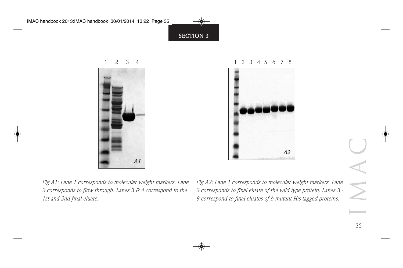



*Fig A1: Lane 1 corresponds to molecular weight markers. Lane 2 corresponds to flow through. Lanes 3 & 4 correspond to the 1st and 2nd final eluate.*

*Fig A2: Lane 1 corresponds to molecular weight markers. Lane 2 corresponds to final eluate of the wild type protein. Lanes 3 - 8 correspond to final eluates of 6 mutant His-tagged proteins.*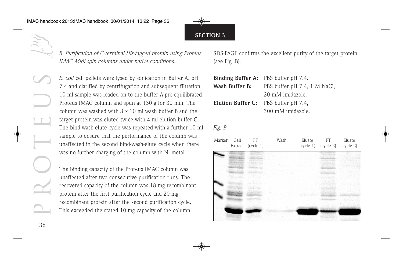*B. Purification of C-terminal His-tagged protein using Proteus IMAC Midi spin columns under native conditions.*

*E. coli* cell pellets were lysed by sonication in Buffer A, pH 7.4 and clarified by centrifugation and subsequent filtration. 10 ml sample was loaded on to the buffer A-pre-equilibrated Proteus IMAC column and spun at 150 g for 30 min. The column was washed with 3 x 10 ml wash buffer B and the target protein was eluted twice with 4 ml elution buffer C. The bind-wash-elute cycle was repeated with a further 10 ml sample to ensure that the performance of the column was unaffected in the second bind-wash-elute cycle when there was no further charging of the column with Ni metal.

The binding capacity of the Proteus IMAC column was unaffected after two consecutive purification runs. The recovered capacity of the column was 18 mg recombinant protein after the first purification cycle and 20 mg recombinant protein after the second purification cycle. This exceeded the stated 10 mg capacity of the column.

SDS-PAGE confirms the excellent purity of the target protein (see Fig. B).

| <b>Binding Buffer A:</b> PBS buffer pH 7.4. |                              |
|---------------------------------------------|------------------------------|
| Wash Buffer B:                              | PBS buffer pH 7.4, 1 M NaCl, |
|                                             | 20 mM imidazole.             |
| Elution Buffer C: PBS buffer pH 7.4,        |                              |
|                                             | 300 mM imidazole.            |

#### *Fig. B*

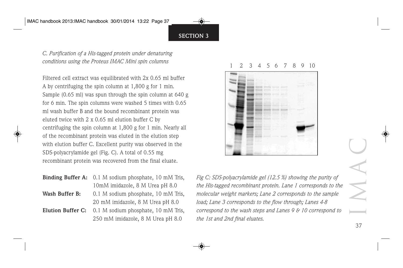*C. Purification of a His-tagged protein under denaturing conditions using the Proteus IMAC Mini spin columns*

Filtered cell extract was equilibrated with 2x 0.65 ml buffer A by centrifuging the spin column at 1,800 g for 1 min. Sample (0.65 ml) was spun through the spin column at 640 g for 6 min. The spin columns were washed 5 times with 0.65 ml wash buffer B and the bound recombinant protein was eluted twice with 2 x 0.65 ml elution buffer C by centrifuging the spin column at 1,800 g for 1 min. Nearly all of the recombinant protein was eluted in the elution step with elution buffer C. Excellent purity was observed in the SDS-polyacrylamide gel (Fig. C). A total of 0.55 mg recombinant protein was recovered from the final eluate.

- **Binding Buffer A:** 0.1 M sodium phosphate, 10 mM Tris, 10mM imidazole, 8 M Urea pH 8.0
- **Wash Buffer B:** 0.1 M sodium phosphate, 10 mM Tris, 20 mM imidazole, 8 M Urea pH 8.0
- **Elution Buffer C:** 0.1 M sodium phosphate, 10 mM Tris, 250 mM imidazole, 8 M Urea pH 8.0

#### 1 2 3 4 5 6 7 8 9 10



*Fig C: SDS-polyacrylamide gel (12.5 %) showing the purity of the His-tagged recombinant protein. Lane 1 corresponds to the molecular weight markers; Lane 2 corresponds to the sample load; Lane 3 corresponds to the flow through; Lanes 4-8 correspond to the wash steps and Lanes 9 & 10 correspond to the 1st and 2nd final eluates.*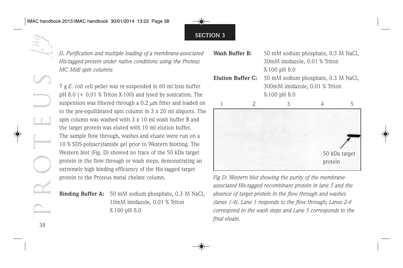*D. Purification and multiple loading of a membrane-associated His-tagged protein under native conditions using the Proteus MC Midi spin columns*

7 g *E. coli* cell pellet was re-suspended in 60 ml lysis buffer pH 8.0  $(+ 0.01 %$  Triton X-100) and lysed by sonication. The suspension was filtered through a  $0.2 \mu$ m filter and loaded on to the pre-equilibrated spin column in 3 x 20 ml aliquots. The spin column was washed with 3 x 10 ml wash buffer B and the target protein was eluted with 10 ml elution buffer. The sample flow through, washes and eluate were run on a 10 % SDS-polyacrylamide gel prior to Western blotting. The Western blot (Fig. D) showed no trace of the 50 kDa target protein in the flow through or wash steps, demonstrating an extremely high binding efficiency of the His-tagged target protein to the Proteus metal chelate column.

**Binding Buffer A:** 50 mM sodium phosphate, 0.3 M NaCl, 10mM imidazole, 0.01 % Triton X-100 pH 8.0

- **Wash Buffer B:** 50 mM sodium phosphate, 0.3 M NaCl, 30mM imidazole, 0.01 % Triton X-100 pH 8.0
- **Elution Buffer C:** 50 mM sodium phosphate, 0.3 M NaCl, 300mM imidazole, 0.01 % Triton X-100 pH 8.0



*Fig D: Western blot showing the purity of the membraneassociated His-tagged recombinant protein in lane 5 and the absence of target protein in the flow through and washes (lanes 1-4). Lane 1 responds to the flow through; Lanes 2-4 correspond to the wash steps and Lane 5 corresponds to the final eluate.*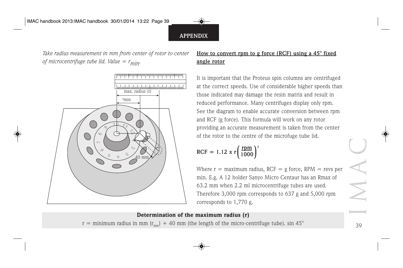*Take radius measurement in mm from center of rotor to center of microcentrifuge tube lid. Value = rmin.*



#### **How to convert rpm to g force (RCF) using a 45° fixed angle rotor**

It is important that the Proteus spin columns are centrifuged at the correct speeds. Use of considerable higher speeds than those indicated may damage the resin matrix and result in reduced performance. Many centrifuges display only rpm. See the diagram to enable accurate conversion between rpm and RCF (g force). This formula will work on any rotor providing an accurate measurement is taken from the center of the rotor to the centre of the microfuge tube lid.

$$
RCF = 1.12 \times r \left(\frac{rpm}{1000}\right)^2
$$

Where  $r =$  maximum radius, RCF = g force, RPM = revs per min. E.g. A 12 holder Sanyo Micro Centaur has an Rmax of 63.2 mm when 2.2 ml microcentrifuge tubes are used. Therefore 3,000 rpm corresponds to 637 g and 5,000 rpm corresponds to 1,770 g.

#### Determination of the maximum radius (r)

r = minimum radius in mm  $(r_{min})$  + 40 mm (the length of the micro-centrifuge tube). sin 45°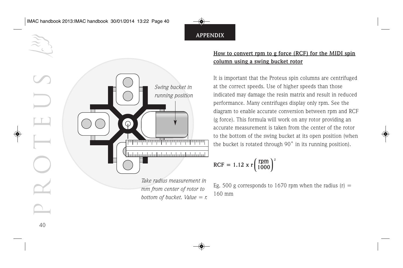

#### **How to convert rpm to g force (RCF) for the MIDI spin column using a swing bucket rotor**

It is important that the Proteus spin columns are centrifuged at the correct speeds. Use of higher speeds than those indicated may damage the resin matrix and result in reduced performance. Many centrifuges display only rpm. See the diagram to enable accurate conversion between rpm and RCF (g force). This formula will work on any rotor providing an accurate measurement is taken from the center of the rotor to the bottom of the swing bucket at its open position (when the bucket is rotated through 90˚ in its running position).

$$
RCF = 1.12 \times r \left(\frac{rpm}{1000}\right)^2
$$

Eg. 500 g corresponds to 1670 rpm when the radius  $(r)$  = 160 mm

40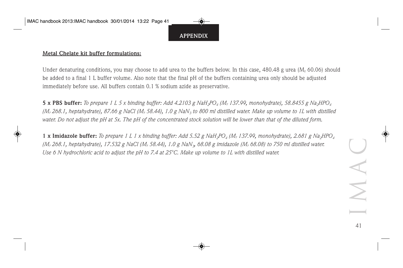#### **Metal Chelate kit buffer formulations:**

Under denaturing conditions, you may choose to add urea to the buffers below. In this case,  $480.48$  g urea (M<sub>r</sub> 60.06) should be added to a final 1 L buffer volume. Also note that the final pH of the buffers containing urea only should be adjusted immediately before use. All buffers contain 0.1 % sodium azide as preservative.

**5 x PBS buffer:** *To prepare 1 L 5 x binding buffer: Add 4.2103 g NaH2PO4 (Mr 137.99, monohydrate), 58.8455 g Na2HPO4 (Mr 268.1, heptahydrate), 87.66 g NaCl (Mr 58.44), 1.0 g NaN3 to 800 ml distilled water. Make up volume to 1L with distilled water. Do not adjust the pH at 5x. The pH of the concentrated stock solution will be lower than that of the diluted form.*

**1 x Imidazole buffer:** *To prepare 1 L 1 x binding buffer: Add 5.52 g NaH2PO4 (Mr 137.99, monohydrate), 2.681 g Na2HPO4 (Mr 268.1, heptahydrate), 17.532 g NaCl (Mr 58.44), 1.0 g NaN3, 68.08 g imidazole (Mr 68.08) to 750 ml distilled water. Use 6 N hydrochloric acid to adjust the pH to 7.4 at 25°C. Make up volume to 1L with distilled water.*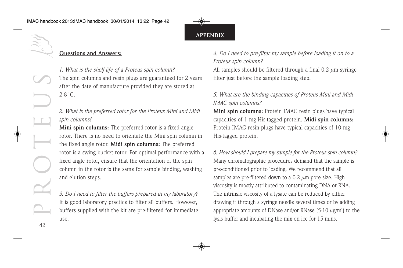

#### **Questions and Answers:**

*1. What is the shelf-life of a Proteus spin column?* The spin columns and resin plugs are guaranteed for 2 years after the date of manufacture provided they are stored at  $2-8$ °C.

#### *2. What is the preferred rotor for the Proteus Mini and Midi spin columns?*

**Mini spin columns:** The preferred rotor is a fixed angle rotor. There is no need to orientate the Mini spin column in the fixed angle rotor. **Midi spin columns:** The preferred rotor is a swing bucket rotor. For optimal performance with a fixed angle rotor, ensure that the orientation of the spin column in the rotor is the same for sample binding, washing and elution steps.

*3. Do I need to filter the buffers prepared in my laboratory?* It is good laboratory practice to filter all buffers. However, buffers supplied with the kit are pre-filtered for immediate use.

*4. Do I need to pre-filter my sample before loading it on to a Proteus spin column?*

All samples should be filtered through a final  $0.2 \mu m$  syringe filter just before the sample loading step.

#### *5. What are the binding capacities of Proteus Mini and Midi IMAC spin columns?*

**Mini spin columns:** Protein IMAC resin plugs have typical capacities of 1 mg His-tagged protein. **Midi spin columns:** Protein IMAC resin plugs have typical capacities of 10 mg His-tagged protein.

*6. How should I prepare my sample for the Proteus spin column?* Many chromatographic procedures demand that the sample is pre-conditioned prior to loading. We recommend that all samples are pre-filtered down to a  $0.2 \mu m$  pore size. High viscosity is mostly attributed to contaminating DNA or RNA. The intrinsic viscosity of a lysate can be reduced by either drawing it through a syringe needle several times or by adding appropriate amounts of DNase and/or RNase  $(5-10 \mu g/ml)$  to the lysis buffer and incubating the mix on ice for 15 mins.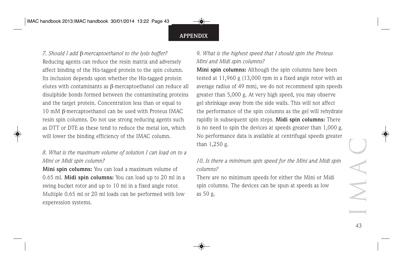*7. Should I add* β*-mercaptoethanol to the lysis buffer?* Reducing agents can reduce the resin matrix and adversely affect binding of the His-tagged protein to the spin column. Its inclusion depends upon whether the His-tagged protein elutes with contaminants as β-mercaptoethanol can reduce all disulphide bonds formed between the contaminating proteins and the target protein. Concentration less than or equal to 10 mM β-mercaptoethanol can be used with Proteus IMAC resin spin columns. Do not use strong reducing agents such as DTT or DTE as these tend to reduce the metal ion, which will lower the binding efficiency of the IMAC column.

#### *8. What is the maximum volume of solution I can load on to a Mini or Midi spin column?*

**Mini spin columns:** You can load a maximum volume of 0.65 ml. **Midi spin columns:** You can load up to 20 ml in a swing bucket rotor and up to 10 ml in a fixed angle rotor. Multiple 0.65 ml or 20 ml loads can be performed with low experession systems.

#### *9. What is the highest speed that I should spin the Proteus Mini and Midi spin columns?*

**Mini spin columns:** Although the spin columns have been tested at 11,960 g (13,000 rpm in a fixed angle rotor with an average radius of 49 mm), we do not recommend spin speeds greater than 5,000 g. At very high speed, you may observe gel shrinkage away from the side walls. This will not affect the performance of the spin columns as the gel will rehydrate rapidly in subsequent spin steps. **Midi spin columns:** There is no need to spin the devices at speeds greater than 1,000 g. No performance data is available at centrifugal speeds greater than 1,250 g.

*10. Is there a minimum spin speed for the Mini and Midi spin columns?*

There are no minimum speeds for either the Mini or Midi spin columns. The devices can be spun at speeds as low as 50 g.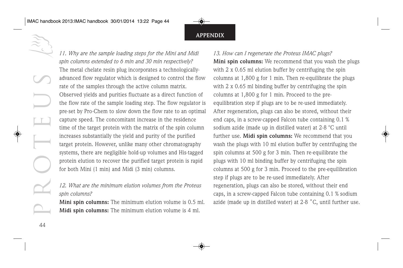

*11. Why are the sample loading steps for the Mini and Midi spin columns extended to 6 min and 30 min respectively?* The metal chelate resin plug incorporates a technologicallyadvanced flow regulator which is designed to control the flow rate of the samples through the active column matrix. Observed yields and purities fluctuate as a direct function of the flow rate of the sample loading step. The flow regulator is pre-set by Pro-Chem to slow down the flow rate to an optimal capture speed. The concomitant increase in the residence time of the target protein with the matrix of the spin column increases substantially the yield and purity of the purified target protein. However, unlike many other chromatography systems, there are negligible hold-up volumes and His-tagged protein elution to recover the purified target protein is rapid for both Mini (1 min) and Midi (3 min) columns.

#### *12. What are the minimum elution volumes from the Proteus spin columns?*

**Mini spin columns:** The minimum elution volume is 0.5 ml. **Midi spin columns:** The minimum elution volume is 4 ml.

#### *13. How can I regenerate the Proteus IMAC plugs?*

**Mini spin columns:** We recommend that you wash the plugs with 2 x 0.65 ml elution buffer by centrifuging the spin columns at 1,800 g for 1 min. Then re-equilibrate the plugs with 2 x 0.65 ml binding buffer by centrifuging the spin columns at 1,800 g for 1 min. Proceed to the preequilibration step if plugs are to be re-used immediately. After regeneration, plugs can also be stored, without their end caps, in a screw-capped Falcon tube containing 0.1 % sodium azide (made up in distilled water) at 2-8 °C until further use. **Midi spin columns:** We recommend that you wash the plugs with 10 ml elution buffer by centrifuging the spin columns at 500 g for 3 min. Then re-equilibrate the plugs with 10 ml binding buffer by centrifuging the spin columns at 500 g for 3 min. Proceed to the pre-equilibration step if plugs are to be re-used immediately. After regeneration, plugs can also be stored, without their end caps, in a screw-capped Falcon tube containing 0.1 % sodium azide (made up in distilled water) at 2-8 ˚C, until further use.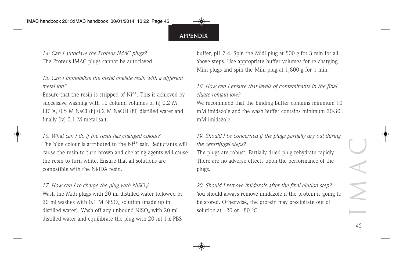*14. Can I autoclave the Proteus IMAC plugs?* The Proteus IMAC plugs cannot be autoclaved.

#### *15. Can I immobilize the metal chelate resin with a different metal ion?*

Ensure that the resin is stripped of  $Ni^{2+}$ . This is achieved by successive washing with 10 column volumes of (i) 0.2 M EDTA, 0.5 M NaCl (ii) 0.2 M NaOH (iii) distilled water and finally (iv) 0.1 M metal salt.

#### *16. What can I do if the resin has changed colour?*

The blue colour is attributed to the  $Ni^{2+}$  salt. Reductants will cause the resin to turn brown and chelating agents will cause the resin to turn white. Ensure that all solutions are compatible with the Ni-IDA resin.

*17. How can I re-charge the plug with NiSO4?* Wash the Midi plugs with 20 ml distilled water followed by 20 ml washes with 0.1 M NiSO<sub>4</sub> solution (made up in distilled water). Wash off any unbound  $Niso<sub>4</sub>$  with 20 ml distilled water and equilibrate the plug with 20 ml 1 x PBS

buffer, pH 7.4. Spin the Midi plug at 500 g for 3 min for all above steps. Use appropriate buffer volumes for re-charging Mini plugs and spin the Mini plug at 1,800 g for 1 min.

*18. How can I ensure that levels of contaminants in the final eluate remain low?*

We recommend that the binding buffer contains minimum 10 mM imidazole and the wash buffer contains minimum 20-30 mM imidazole.

*19. Should I be concerned if the plugs partially dry out during the centrifugal steps?*

The plugs are robust. Partially dried plug rehydrate rapidly. There are no adverse effects upon the performance of the plugs.

*20. Should I remove imidazole after the final elution step?* You should always remove imidazole if the protein is going to be stored. Otherwise, the protein may precipitate out of solution at  $-20$  or  $-80$  °C.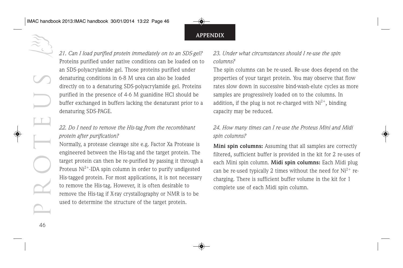*21. Can I load purified protein immediately on to an SDS-gel?* Proteins purified under native conditions can be loaded on to an SDS-polyacrylamide gel. Those proteins purified under denaturing conditions in 6-8 M urea can also be loaded directly on to a denaturing SDS-polyacrylamide gel. Proteins purified in the presence of 4-6 M guanidine HCl should be buffer exchanged in buffers lacking the denaturant prior to a denaturing SDS-PAGE.

#### *22. Do I need to remove the His-tag from the recombinant protein after purification?*

Normally, a protease cleavage site e.g. Factor Xa Protease is engineered between the His-tag and the target protein. The target protein can then be re-purified by passing it through a Proteus  $Ni<sup>2+</sup>$ -IDA spin column in order to purify undigested His-tagged protein. For most applications, it is not necessary to remove the His-tag. However, it is often desirable to remove the His-tag if X-ray crystallography or NMR is to be used to determine the structure of the target protein.

#### *23. Under what circumstances should I re-use the spin columns?*

The spin columns can be re-used. Re-use does depend on the properties of your target protein. You may observe that flow rates slow down in successive bind-wash-elute cycles as more samples are progressively loaded on to the columns. In addition, if the plug is not re-charged with  $Ni<sup>2+</sup>$ , binding capacity may be reduced.

#### *24. How many times can I re-use the Proteus Mini and Midi spin columns?*

**Mini spin columns:** Assuming that all samples are correctly filtered, sufficient buffer is provided in the kit for 2 re-uses of each Mini spin column. **Midi spin columns:** Each Midi plug can be re-used typically 2 times without the need for  $Ni^{2+}$  recharging. There is sufficient buffer volume in the kit for 1 complete use of each Midi spin column.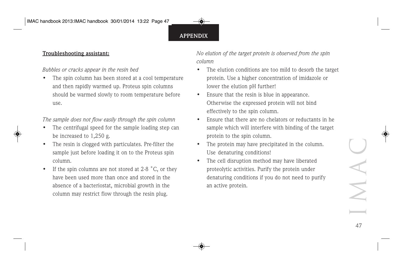#### **Troubleshooting assistant:**

#### *Bubbles or cracks appear in the resin bed*

The spin column has been stored at a cool temperature and then rapidly warmed up. Proteus spin columns should be warmed slowly to room temperature before use.

#### *The sample does not flow easily through the spin column*

- The centrifugal speed for the sample loading step can be increased to 1,250 g.
- The resin is clogged with particulates. Pre-filter the sample just before loading it on to the Proteus spin column.
- If the spin columns are not stored at 2-8  $^{\circ}$ C, or they have been used more than once and stored in the absence of a bacteriostat, microbial growth in the column may restrict flow through the resin plug.

*No elution of the target protein is observed from the spin column*

- The elution conditions are too mild to desorb the target protein. Use a higher concentration of imidazole or lower the elution pH further!
- Ensure that the resin is blue in appearance. Otherwise the expressed protein will not bind effectively to the spin column.
- Ensure that there are no chelators or reductants in he sample which will interfere with binding of the target protein to the spin column.
- The protein may have precipitated in the column. Use denaturing conditions!
- The cell disruption method may have liberated proteolytic activities. Purify the protein under denaturing conditions if you do not need to purify an active protein.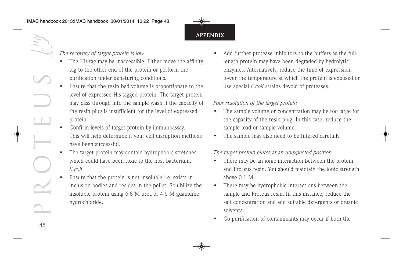#### *The recovery of target protein is low*

- The His-tag may be inaccessible. Either move the affinity tag to the other end of the protein or perform the purification under denaturing conditions.
- Ensure that the resin bed volume is proportionate to the level of expressed His-tagged protein. The target protein may pass through into the sample wash if the capacity of the resin plug is insufficient for the level of expressed protein.
- Confirm levels of target protein by immunoassay. This will help determine if your cell disruption methods have been successful.
- The target protein may contain hydrophobic stretches which could have been toxic to the host bacterium, *E.coli*.
- Ensure that the protein is not insoluble i.e. exists in inclusion bodies and resides in the pellet. Solubilize the insoluble protein using 6-8 M urea or 4-6 M guanidine hydrochloride.

Add further protease inhibitors to the buffers as the fulllength protein may have been degraded by hydrolytic enzymes. Alternatively, reduce the time of expression, lower the temperature at which the protein is exposed or use special *E.coli* strains devoid of proteases.

#### *Poor resolution of the target protein*

- The sample volume or concentration may be too large for the capacity of the resin plug. In this case, reduce the sample load or sample volume.
- The sample may also need to be filtered carefully.

#### *The target protein elutes at an unexpected position*

- There may be an ionic interaction between the protein and Proteus resin. You should maintain the ionic strength above 0.1 M.
- There may be hydrophobic interactions between the sample and Proteus resin. In this instance, reduce the salt concentration and add suitable detergents or organic solvents.
- Co-purification of contaminants may occur if both the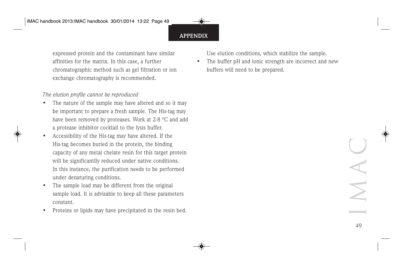expressed protein and the contaminant have similar affinities for the matrix. In this case, a further chromatographic method such as gel filtration or ion exchange chromatography is recommended.

#### *The elution profile cannot be reproduced*

- The nature of the sample may have altered and so it may be important to prepare a fresh sample. The His-tag may have been removed by proteases. Work at 2-8 °C and add a protease inhibitor cocktail to the lysis buffer.
- Accessibility of the His-tag may have altered. If the His-tag becomes buried in the protein, the binding capacity of any metal chelate resin for this target protein will be significantlly reduced under native conditions. In this instance, the purification needs to be performed under denaturing conditions.
- The sample load may be different from the original sample load. It is advisable to keep all these parameters constant.
- Proteins or lipids may have precipitated in the resin bed.

Use elution conditions, which stabilize the sample.

The buffer pH and ionic strength are incorrect and new buffers will need to be prepared.

IMA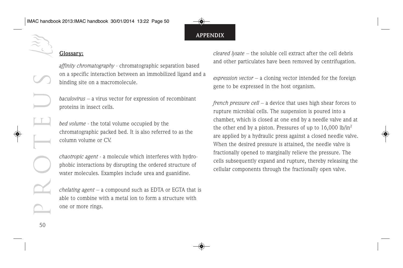#### **Glossary:**

*affinity chromatography* - chromatographic separation based on a specific interaction between an immobilized ligand and a binding site on a macromolecule.

*baculovirus* – a virus vector for expression of recombinant proteins in insect cells.

*bed volume* - the total volume occupied by the chromatographic packed bed. It is also referred to as the column volume or CV.

*chaotropic agent* - a molecule which interferes with hydrophobic interactions by disrupting the ordered structure of water molecules. Examples include urea and guanidine.

*chelating agent* – a compound such as EDTA or EGTA that is able to combine with a metal ion to form a structure with one or more rings.

*cleared lysate* – the soluble cell extract after the cell debris and other particulates have been removed by centrifugation.

*expression vector* – a cloning vector intended for the foreign gene to be expressed in the host organism.

*french pressure cell* – a device that uses high shear forces to rupture microbial cells. The suspension is poured into a chamber, which is closed at one end by a needle valve and at the other end by a piston. Pressures of up to  $16,000$  lb/in<sup>2</sup> are applied by a hydraulic press against a closed needle valve. When the desired pressure is attained, the needle valve is fractionally opened to marginally relieve the pressure. The cells subsequently expand and rupture, thereby releasing the cellular components through the fractionally open valve.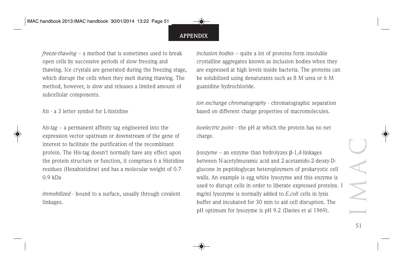*freeze-thawing* – a method that is sometimes used to break open cells by successive periods of slow freezing and thawing. Ice crystals are generated during the freezing stage, which disrupt the cells when they melt during thawing. The method, however, is slow and releases a limited amount of subcellular components.

*his* - a 3 letter symbol for L-histidine

*his-tag* – a permanent affinity tag engineered into the expression vector upstream or downstream of the gene of interest to facilitate the purification of the recombinant protein. The His-tag doesn't normally have any effect upon the protein structure or function, it comprises 6 x Histidine residues (Hexahistidine) and has a molecular weight of 0.7- 0.9 kDa

*immobilized* - bound to a surface, usually through covalent linkages.

*inclusion bodies* – quite a lot of proteins form insoluble crystalline aggregates known as inclusion bodies when they are expressed at high levels inside bacteria. The proteins can be solubilized using denaturants such as 8 M urea or 6 M guanidine hydrochloride.

*ion exchange chromatography* - chromatographic separation based on different charge properties of macromolecules.

*isoelectric point* - the pH at which the protein has no net charge.

*lysozyme* – an enzyme than hydrolyzes β-1,4-linkages between N-acetylmuramic acid and 2-acetamido-2-deoxy-Dglucone in peptidoglycan heteroploymers of prokaryotic cell walls. An example is egg white lysozyme and this enzyme is used to disrupt cells in order to liberate expressed proteins. 1 mg/ml lysozyme is normally added to *E.coli* cells in lysis buffer and incubated for 30 min to aid cell disruption. The pH optimum for lysozyme is pH 9.2 (Davies et al 1969).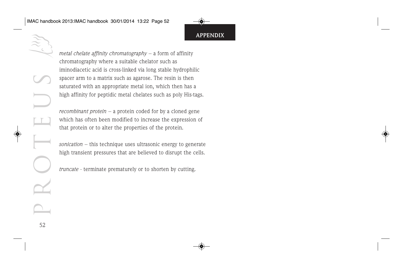PROTEUS 52

*metal chelate affinity chromatography* – a form of affinity chromatography where a suitable chelator such as iminodiacetic acid is cross-linked via long stable hydrophilic spacer arm to a matrix such as agarose. The resin is then saturated with an appropriate metal ion, which then has a high affinity for peptidic metal chelates such as poly His-tags.

*recombinant protein* – a protein coded for by a cloned gene which has often been modified to increase the expression of that protein or to alter the properties of the protein.

*sonication* – this technique uses ultrasonic energy to generate high transient pressures that are believed to disrupt the cells.

*truncate* - terminate prematurely or to shorten by cutting.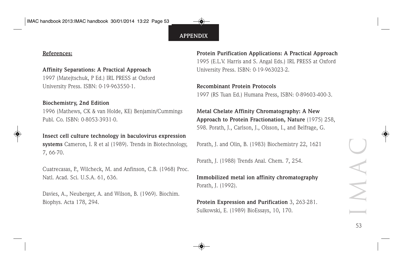#### **References:**

#### **Affinity Separations: A Practical Approach**

1997 (Matejtschuk, P Ed.) IRL PRESS at Oxford University Press. ISBN: 0-19-963550-1.

#### **Biochemistry, 2nd Edition**

1996 (Mathews, CK & van Holde, KE) Benjamin/Cummings Publ. Co. ISBN: 0-8053-3931-0.

#### **Insect cell culture technology in baculovirus expression**

**systems** Cameron, I. R et al (1989). Trends in Biotechnology, 7, 66-70.

Cuatrecasas, P., Wilcheck, M. and Anfinson, C.B. (1968) Proc. Natl. Acad. Sci. U.S.A. 61, 636.

Davies, A., Neuberger, A. and Wilson, B. (1969). Biochim. Biophys. Acta 178, 294.

**Protein Purification Applications: A Practical Approach** 1995 (E.L.V. Harris and S. Angal Eds.) IRL PRESS at Oxford University Press. ISBN: 0-19-963023-2.

#### **Recombinant Protein Protocols**

1997 (RS Tuan Ed.) Humana Press, ISBN: 0-89603-400-3.

**Metal Chelate Affinity Chromatography: A New Approach to Protein Fractionation, Nature** (1975) 258, 598. Porath, J., Carlson, J., Olsson, I., and Belfrage, G.

Porath, J. and Olin, B. (1983) Biochemistry 22, 1621

Porath, J. (1988) Trends Anal. Chem. 7, 254.

**Immobilized metal ion affinity chromatography** Porath, J. (1992).

**Protein Expression and Purification** 3, 263-281. Sulkowski, E. (1989) BioEssays, 10, 170.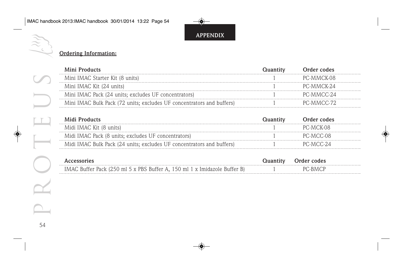## **Ordering Information:**

| Mini Products                                                         | Quantity | Order codes |  |
|-----------------------------------------------------------------------|----------|-------------|--|
| Mini IMAC Starter Kit (8 units)                                       |          | PC-MMCK-08  |  |
| Mini IMAC Kit (24 units)                                              |          | PC-MMCK-24  |  |
| Mini IMAC Pack (24 units; excludes UF concentrators)                  |          | PC-MMCC-24  |  |
| Mini IMAC Bulk Pack (72 units; excludes UF concentrators and buffers) |          | PC-MMCC-72  |  |

| Midi Products                                                         | Order codes |  |
|-----------------------------------------------------------------------|-------------|--|
| Midi IMAC Kit (8 units)                                               | PC-MCK-08   |  |
| Midi IMAC Pack (8 units; excludes UF concentrators)                   | PC-MCC-08   |  |
| Midi IMAC Bulk Pack (24 units; excludes UF concentrators and buffers) | PC-MCC-24   |  |

| . Buffer Pack (250 ml 5 x PBS Buffer A $-150$ ml 1 x Imidazole Buffer $\overline{ }$ |  |  |
|--------------------------------------------------------------------------------------|--|--|

PROTEUS

 $\Box$ 

 $\sqrt{}$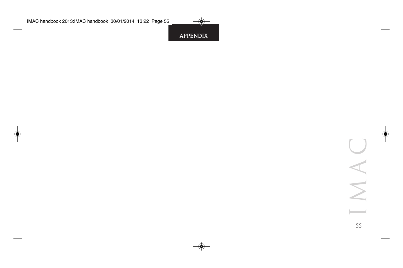IMAC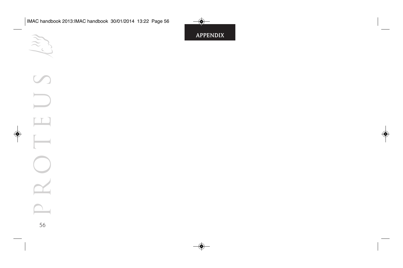

 $\widetilde{\mathcal{X}}$